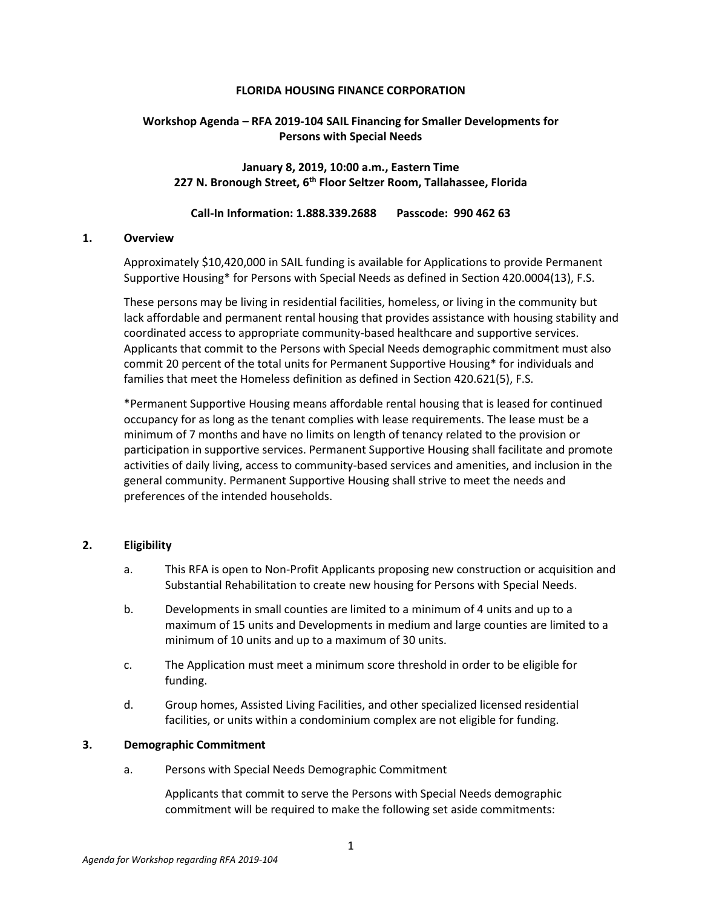## **FLORIDA HOUSING FINANCE CORPORATION**

# **Workshop Agenda – RFA 2019-104 SAIL Financing for Smaller Developments for Persons with Special Needs**

**January 8, 2019, 10:00 a.m., Eastern Time 227 N. Bronough Street, 6th Floor Seltzer Room, Tallahassee, Florida**

#### **Call-In Information: 1.888.339.2688 Passcode: 990 462 63**

## **1. Overview**

Approximately \$10,420,000 in SAIL funding is available for Applications to provide Permanent Supportive Housing\* for Persons with Special Needs as defined in Section 420.0004(13), F.S.

These persons may be living in residential facilities, homeless, or living in the community but lack affordable and permanent rental housing that provides assistance with housing stability and coordinated access to appropriate community-based healthcare and supportive services. Applicants that commit to the Persons with Special Needs demographic commitment must also commit 20 percent of the total units for Permanent Supportive Housing\* for individuals and families that meet the Homeless definition as defined in Section 420.621(5), F.S.

\*Permanent Supportive Housing means affordable rental housing that is leased for continued occupancy for as long as the tenant complies with lease requirements. The lease must be a minimum of 7 months and have no limits on length of tenancy related to the provision or participation in supportive services. Permanent Supportive Housing shall facilitate and promote activities of daily living, access to community-based services and amenities, and inclusion in the general community. Permanent Supportive Housing shall strive to meet the needs and preferences of the intended households.

## **2. Eligibility**

- a. This RFA is open to Non-Profit Applicants proposing new construction or acquisition and Substantial Rehabilitation to create new housing for Persons with Special Needs.
- b. Developments in small counties are limited to a minimum of 4 units and up to a maximum of 15 units and Developments in medium and large counties are limited to a minimum of 10 units and up to a maximum of 30 units.
- c. The Application must meet a minimum score threshold in order to be eligible for funding.
- d. Group homes, Assisted Living Facilities, and other specialized licensed residential facilities, or units within a condominium complex are not eligible for funding.

## **3. Demographic Commitment**

a. Persons with Special Needs Demographic Commitment

Applicants that commit to serve the Persons with Special Needs demographic commitment will be required to make the following set aside commitments: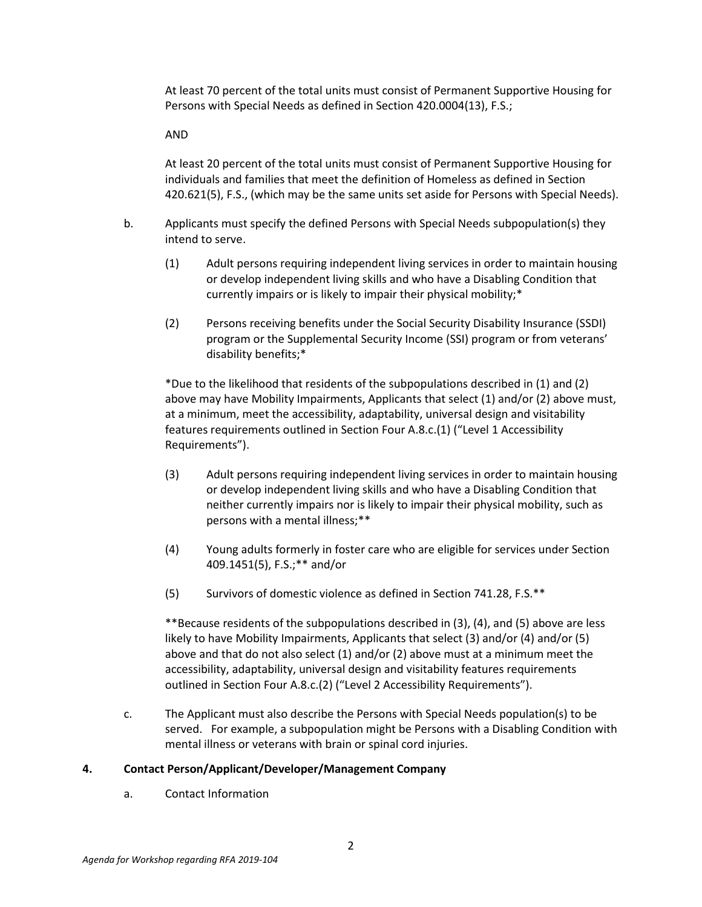At least 70 percent of the total units must consist of Permanent Supportive Housing for Persons with Special Needs as defined in Section 420.0004(13), F.S.;

AND

At least 20 percent of the total units must consist of Permanent Supportive Housing for individuals and families that meet the definition of Homeless as defined in Section 420.621(5), F.S., (which may be the same units set aside for Persons with Special Needs).

- b. Applicants must specify the defined Persons with Special Needs subpopulation(s) they intend to serve.
	- (1) Adult persons requiring independent living services in order to maintain housing or develop independent living skills and who have a Disabling Condition that currently impairs or is likely to impair their physical mobility;\*
	- (2) Persons receiving benefits under the Social Security Disability Insurance (SSDI) program or the Supplemental Security Income (SSI) program or from veterans' disability benefits;\*

\*Due to the likelihood that residents of the subpopulations described in (1) and (2) above may have Mobility Impairments, Applicants that select (1) and/or (2) above must, at a minimum, meet the accessibility, adaptability, universal design and visitability features requirements outlined in Section Four A.8.c.(1) ("Level 1 Accessibility Requirements").

- (3) Adult persons requiring independent living services in order to maintain housing or develop independent living skills and who have a Disabling Condition that neither currently impairs nor is likely to impair their physical mobility, such as persons with a mental illness;\*\*
- (4) Young adults formerly in foster care who are eligible for services under Section 409.1451(5), F.S.;\*\* and/or
- (5) Survivors of domestic violence as defined in Section 741.28, F.S.\*\*

\*\*Because residents of the subpopulations described in (3), (4), and (5) above are less likely to have Mobility Impairments, Applicants that select (3) and/or (4) and/or (5) above and that do not also select (1) and/or (2) above must at a minimum meet the accessibility, adaptability, universal design and visitability features requirements outlined in Section Four A.8.c.(2) ("Level 2 Accessibility Requirements").

c. The Applicant must also describe the Persons with Special Needs population(s) to be served. For example, a subpopulation might be Persons with a Disabling Condition with mental illness or veterans with brain or spinal cord injuries.

# **4. Contact Person/Applicant/Developer/Management Company**

a. Contact Information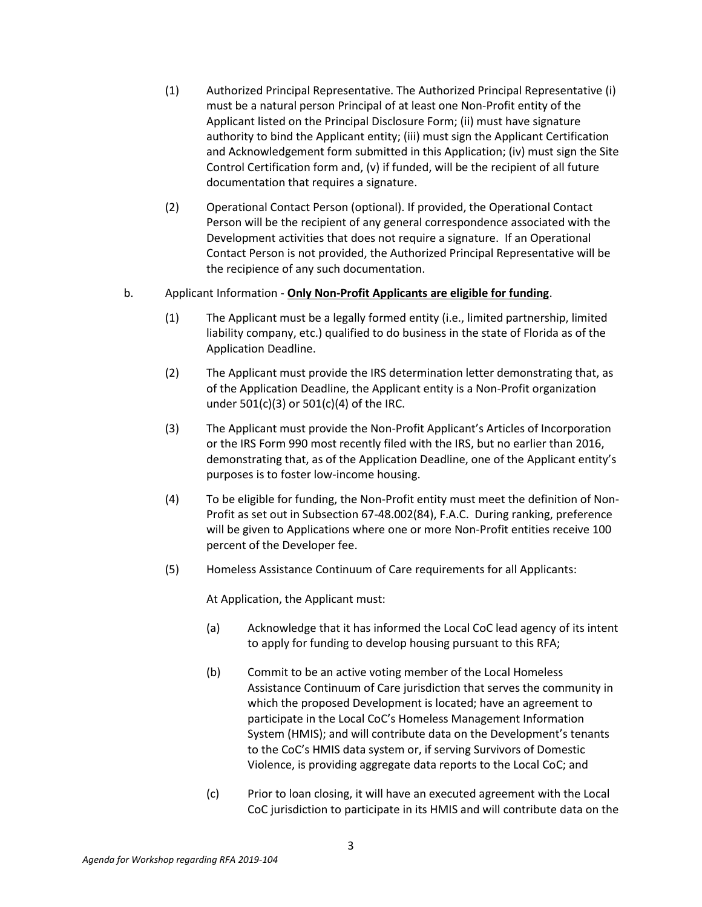- (1) Authorized Principal Representative. The Authorized Principal Representative (i) must be a natural person Principal of at least one Non-Profit entity of the Applicant listed on the Principal Disclosure Form; (ii) must have signature authority to bind the Applicant entity; (iii) must sign the Applicant Certification and Acknowledgement form submitted in this Application; (iv) must sign the Site Control Certification form and, (v) if funded, will be the recipient of all future documentation that requires a signature.
- (2) Operational Contact Person (optional). If provided, the Operational Contact Person will be the recipient of any general correspondence associated with the Development activities that does not require a signature. If an Operational Contact Person is not provided, the Authorized Principal Representative will be the recipience of any such documentation.

## b. Applicant Information - **Only Non-Profit Applicants are eligible for funding**.

- (1) The Applicant must be a legally formed entity (i.e., limited partnership, limited liability company, etc.) qualified to do business in the state of Florida as of the Application Deadline.
- (2) The Applicant must provide the IRS determination letter demonstrating that, as of the Application Deadline, the Applicant entity is a Non-Profit organization under 501(c)(3) or 501(c)(4) of the IRC.
- (3) The Applicant must provide the Non-Profit Applicant's Articles of Incorporation or the IRS Form 990 most recently filed with the IRS, but no earlier than 2016, demonstrating that, as of the Application Deadline, one of the Applicant entity's purposes is to foster low-income housing.
- (4) To be eligible for funding, the Non-Profit entity must meet the definition of Non-Profit as set out in Subsection 67-48.002(84), F.A.C. During ranking, preference will be given to Applications where one or more Non-Profit entities receive 100 percent of the Developer fee.
- (5) Homeless Assistance Continuum of Care requirements for all Applicants:

At Application, the Applicant must:

- (a) Acknowledge that it has informed the Local CoC lead agency of its intent to apply for funding to develop housing pursuant to this RFA;
- (b) Commit to be an active voting member of the Local Homeless Assistance Continuum of Care jurisdiction that serves the community in which the proposed Development is located; have an agreement to participate in the Local CoC's Homeless Management Information System (HMIS); and will contribute data on the Development's tenants to the CoC's HMIS data system or, if serving Survivors of Domestic Violence, is providing aggregate data reports to the Local CoC; and
- (c) Prior to loan closing, it will have an executed agreement with the Local CoC jurisdiction to participate in its HMIS and will contribute data on the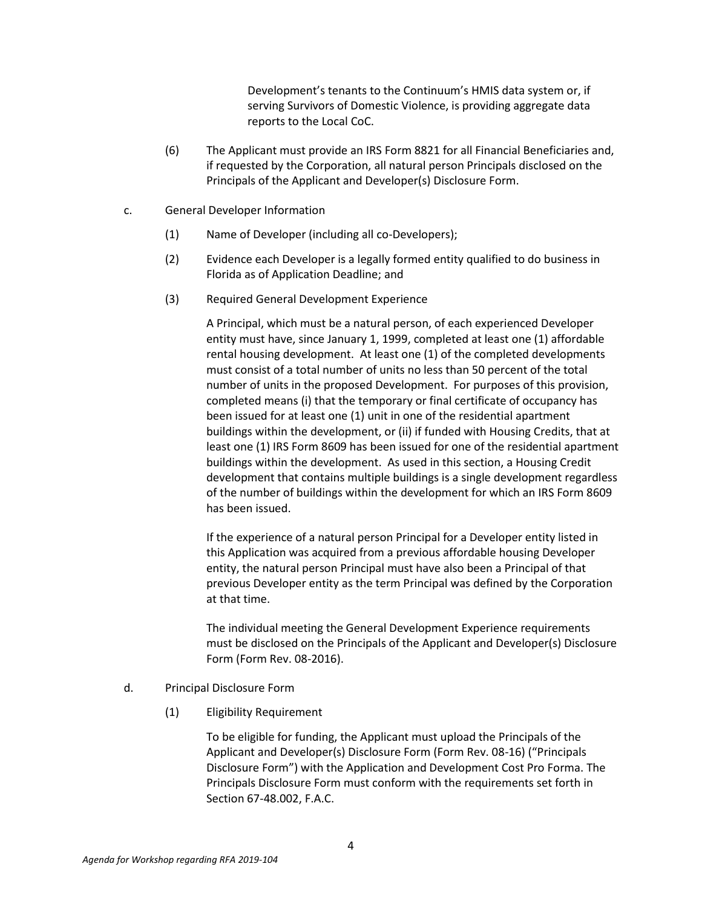Development's tenants to the Continuum's HMIS data system or, if serving Survivors of Domestic Violence, is providing aggregate data reports to the Local CoC.

- (6) The Applicant must provide an IRS Form 8821 for all Financial Beneficiaries and, if requested by the Corporation, all natural person Principals disclosed on the Principals of the Applicant and Developer(s) Disclosure Form.
- c. General Developer Information
	- (1) Name of Developer (including all co-Developers);
	- (2) Evidence each Developer is a legally formed entity qualified to do business in Florida as of Application Deadline; and
	- (3) Required General Development Experience

A Principal, which must be a natural person, of each experienced Developer entity must have, since January 1, 1999, completed at least one (1) affordable rental housing development. At least one (1) of the completed developments must consist of a total number of units no less than 50 percent of the total number of units in the proposed Development. For purposes of this provision, completed means (i) that the temporary or final certificate of occupancy has been issued for at least one (1) unit in one of the residential apartment buildings within the development, or (ii) if funded with Housing Credits, that at least one (1) IRS Form 8609 has been issued for one of the residential apartment buildings within the development. As used in this section, a Housing Credit development that contains multiple buildings is a single development regardless of the number of buildings within the development for which an IRS Form 8609 has been issued.

If the experience of a natural person Principal for a Developer entity listed in this Application was acquired from a previous affordable housing Developer entity, the natural person Principal must have also been a Principal of that previous Developer entity as the term Principal was defined by the Corporation at that time.

The individual meeting the General Development Experience requirements must be disclosed on the Principals of the Applicant and Developer(s) Disclosure Form (Form Rev. 08-2016).

- d. Principal Disclosure Form
	- (1) Eligibility Requirement

To be eligible for funding, the Applicant must upload the Principals of the Applicant and Developer(s) Disclosure Form (Form Rev. 08-16) ("Principals Disclosure Form") with the Application and Development Cost Pro Forma. The Principals Disclosure Form must conform with the requirements set forth in Section 67-48.002, F.A.C.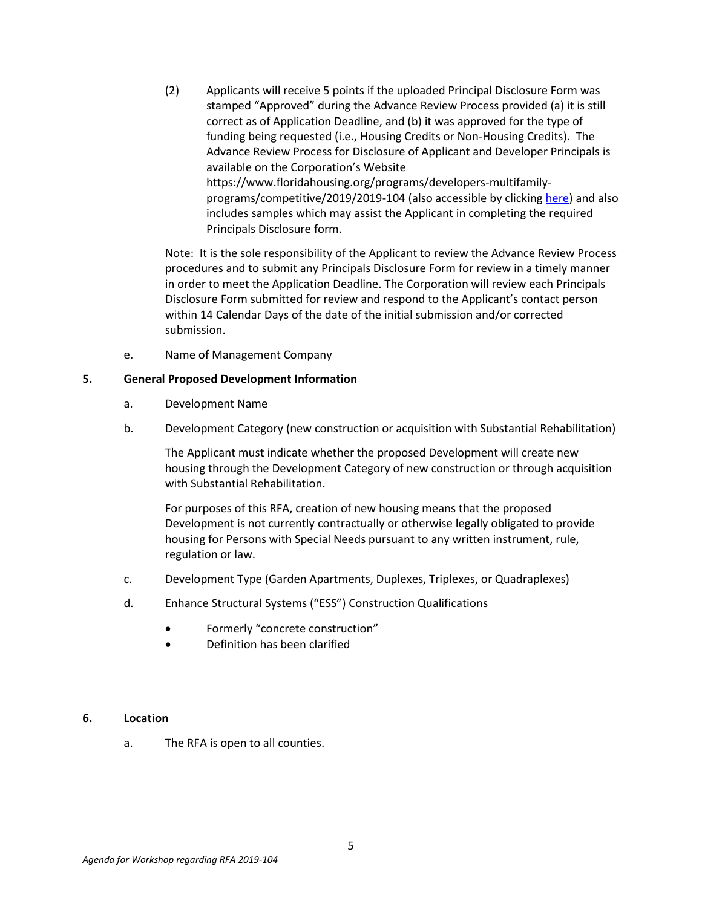(2) Applicants will receive 5 points if the uploaded Principal Disclosure Form was stamped "Approved" during the Advance Review Process provided (a) it is still correct as of Application Deadline, and (b) it was approved for the type of funding being requested (i.e., Housing Credits or Non-Housing Credits). The Advance Review Process for Disclosure of Applicant and Developer Principals is available on the Corporation's Website https://www.floridahousing.org/programs/developers-multifamilyprograms/competitive/2019/2019-104 (also accessible by clicking [here\)](https://www.floridahousing.org/programs/developers-multifamily-programs/competitive/2019/2019-104) and also includes samples which may assist the Applicant in completing the required Principals Disclosure form.

Note: It is the sole responsibility of the Applicant to review the Advance Review Process procedures and to submit any Principals Disclosure Form for review in a timely manner in order to meet the Application Deadline. The Corporation will review each Principals Disclosure Form submitted for review and respond to the Applicant's contact person within 14 Calendar Days of the date of the initial submission and/or corrected submission.

e. Name of Management Company

## **5. General Proposed Development Information**

- a. Development Name
- b. Development Category (new construction or acquisition with Substantial Rehabilitation)

The Applicant must indicate whether the proposed Development will create new housing through the Development Category of new construction or through acquisition with Substantial Rehabilitation.

For purposes of this RFA, creation of new housing means that the proposed Development is not currently contractually or otherwise legally obligated to provide housing for Persons with Special Needs pursuant to any written instrument, rule, regulation or law.

- c. Development Type (Garden Apartments, Duplexes, Triplexes, or Quadraplexes)
- d. Enhance Structural Systems ("ESS") Construction Qualifications
	- Formerly "concrete construction"
	- Definition has been clarified

#### **6. Location**

a. The RFA is open to all counties.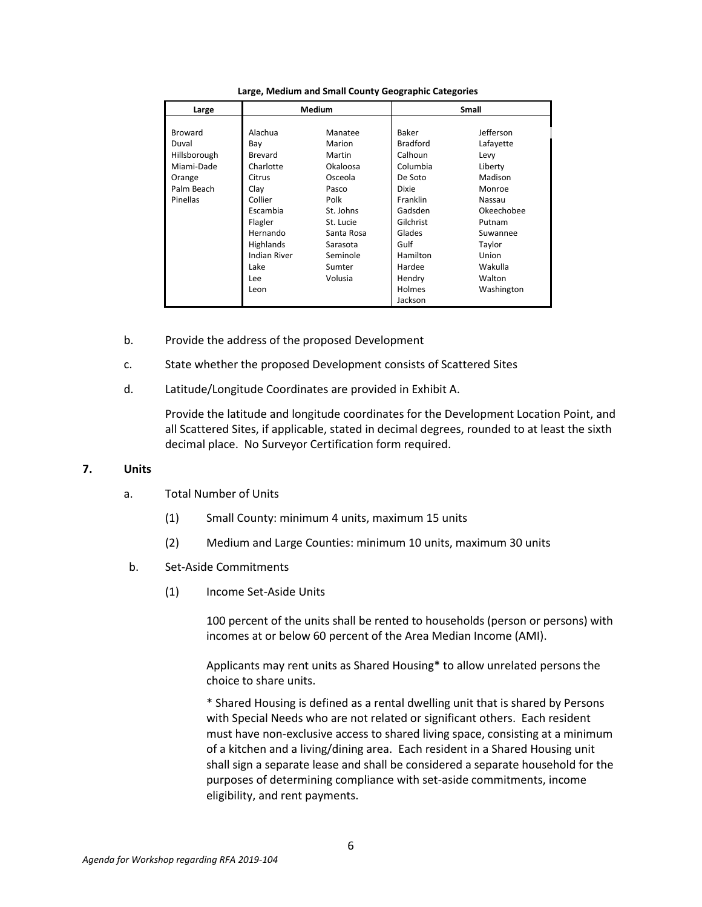| Large          | <b>Medium</b> |            | <b>Small</b>    |            |
|----------------|---------------|------------|-----------------|------------|
|                |               |            |                 |            |
| <b>Broward</b> | Alachua       | Manatee    | Baker           | Jefferson  |
| Duval          | Bay           | Marion     | <b>Bradford</b> | Lafayette  |
| Hillsborough   | Brevard       | Martin     | Calhoun         | Levy       |
| Miami-Dade     | Charlotte     | Okaloosa   | Columbia        | Liberty    |
| Orange         | Citrus        | Osceola    | De Soto         | Madison    |
| Palm Beach     | Clay          | Pasco      | <b>Dixie</b>    | Monroe     |
| Pinellas       | Collier       | Polk       | Franklin        | Nassau     |
|                | Escambia      | St. Johns  | Gadsden         | Okeechobee |
|                | Flagler       | St. Lucie  | Gilchrist       | Putnam     |
|                | Hernando      | Santa Rosa | Glades          | Suwannee   |
|                | Highlands     | Sarasota   | Gulf            | Taylor     |
|                | Indian River  | Seminole   | Hamilton        | Union      |
|                | Lake          | Sumter     | Hardee          | Wakulla    |
|                | Lee           | Volusia    | Hendry          | Walton     |
|                | Leon          |            | Holmes          | Washington |
|                |               |            | Jackson         |            |

**Large, Medium and Small County Geographic Categories**

- b. Provide the address of the proposed Development
- c. State whether the proposed Development consists of Scattered Sites
- d. Latitude/Longitude Coordinates are provided in Exhibit A.

Provide the latitude and longitude coordinates for the Development Location Point, and all Scattered Sites, if applicable, stated in decimal degrees, rounded to at least the sixth decimal place. No Surveyor Certification form required.

#### **7. Units**

- a. Total Number of Units
	- (1) Small County: minimum 4 units, maximum 15 units
	- (2) Medium and Large Counties: minimum 10 units, maximum 30 units
- b. Set-Aside Commitments
	- (1) Income Set-Aside Units

100 percent of the units shall be rented to households (person or persons) with incomes at or below 60 percent of the Area Median Income (AMI).

Applicants may rent units as Shared Housing\* to allow unrelated persons the choice to share units.

\* Shared Housing is defined as a rental dwelling unit that is shared by Persons with Special Needs who are not related or significant others. Each resident must have non-exclusive access to shared living space, consisting at a minimum of a kitchen and a living/dining area. Each resident in a Shared Housing unit shall sign a separate lease and shall be considered a separate household for the purposes of determining compliance with set-aside commitments, income eligibility, and rent payments.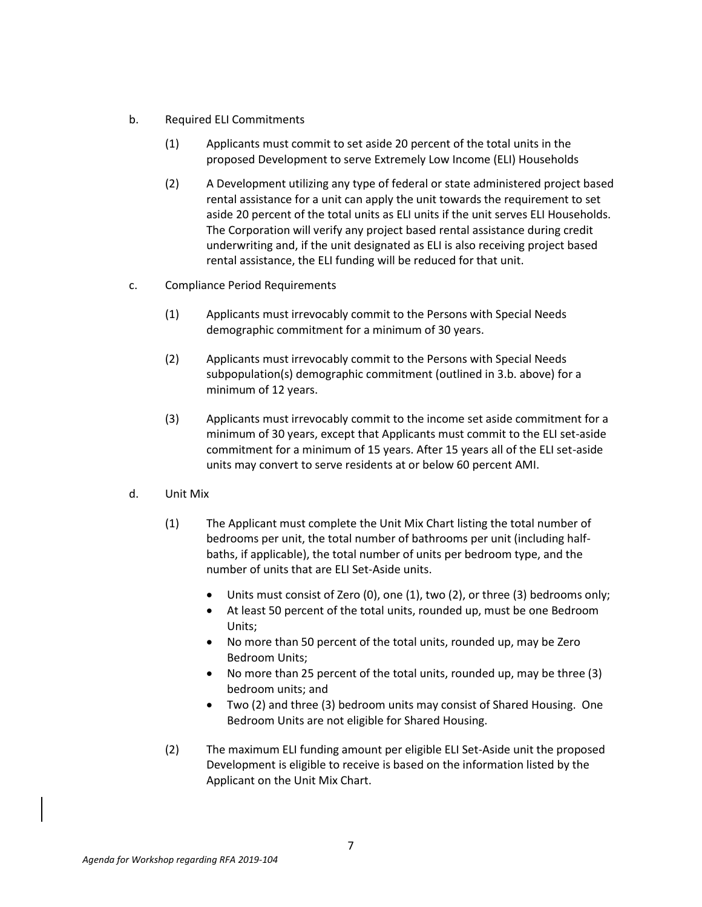- b. Required ELI Commitments
	- (1) Applicants must commit to set aside 20 percent of the total units in the proposed Development to serve Extremely Low Income (ELI) Households
	- (2) A Development utilizing any type of federal or state administered project based rental assistance for a unit can apply the unit towards the requirement to set aside 20 percent of the total units as ELI units if the unit serves ELI Households. The Corporation will verify any project based rental assistance during credit underwriting and, if the unit designated as ELI is also receiving project based rental assistance, the ELI funding will be reduced for that unit.
- c. Compliance Period Requirements
	- (1) Applicants must irrevocably commit to the Persons with Special Needs demographic commitment for a minimum of 30 years.
	- (2) Applicants must irrevocably commit to the Persons with Special Needs subpopulation(s) demographic commitment (outlined in 3.b. above) for a minimum of 12 years.
	- (3) Applicants must irrevocably commit to the income set aside commitment for a minimum of 30 years, except that Applicants must commit to the ELI set-aside commitment for a minimum of 15 years. After 15 years all of the ELI set-aside units may convert to serve residents at or below 60 percent AMI.
- d. Unit Mix
	- (1) The Applicant must complete the Unit Mix Chart listing the total number of bedrooms per unit, the total number of bathrooms per unit (including halfbaths, if applicable), the total number of units per bedroom type, and the number of units that are ELI Set-Aside units.
		- Units must consist of Zero (0), one (1), two (2), or three (3) bedrooms only;
		- At least 50 percent of the total units, rounded up, must be one Bedroom Units;
		- No more than 50 percent of the total units, rounded up, may be Zero Bedroom Units;
		- No more than 25 percent of the total units, rounded up, may be three (3) bedroom units; and
		- Two (2) and three (3) bedroom units may consist of Shared Housing. One Bedroom Units are not eligible for Shared Housing.
	- (2) The maximum ELI funding amount per eligible ELI Set-Aside unit the proposed Development is eligible to receive is based on the information listed by the Applicant on the Unit Mix Chart.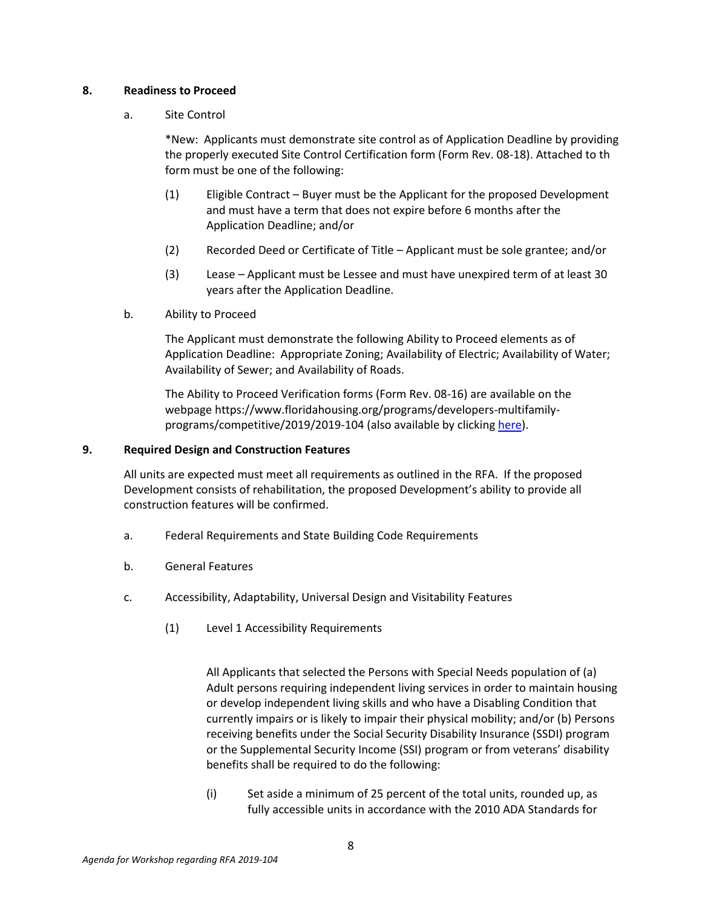## **8. Readiness to Proceed**

a. Site Control

\*New: Applicants must demonstrate site control as of Application Deadline by providing the properly executed Site Control Certification form (Form Rev. 08-18). Attached to th form must be one of the following:

- (1) Eligible Contract Buyer must be the Applicant for the proposed Development and must have a term that does not expire before 6 months after the Application Deadline; and/or
- (2) Recorded Deed or Certificate of Title Applicant must be sole grantee; and/or
- (3) Lease Applicant must be Lessee and must have unexpired term of at least 30 years after the Application Deadline.
- b. Ability to Proceed

The Applicant must demonstrate the following Ability to Proceed elements as of Application Deadline: Appropriate Zoning; Availability of Electric; Availability of Water; Availability of Sewer; and Availability of Roads.

The Ability to Proceed Verification forms (Form Rev. 08-16) are available on the webpage https://www.floridahousing.org/programs/developers-multifamilyprograms/competitive/2019/2019-104 (also available by clickin[g here\)](https://www.floridahousing.org/programs/developers-multifamily-programs/competitive/2019/2019-104).

## **9. Required Design and Construction Features**

All units are expected must meet all requirements as outlined in the RFA. If the proposed Development consists of rehabilitation, the proposed Development's ability to provide all construction features will be confirmed.

- a. Federal Requirements and State Building Code Requirements
- b. General Features
- c. Accessibility, Adaptability, Universal Design and Visitability Features
	- (1) Level 1 Accessibility Requirements

All Applicants that selected the Persons with Special Needs population of (a) Adult persons requiring independent living services in order to maintain housing or develop independent living skills and who have a Disabling Condition that currently impairs or is likely to impair their physical mobility; and/or (b) Persons receiving benefits under the Social Security Disability Insurance (SSDI) program or the Supplemental Security Income (SSI) program or from veterans' disability benefits shall be required to do the following:

(i) Set aside a minimum of 25 percent of the total units, rounded up, as fully accessible units in accordance with the 2010 ADA Standards for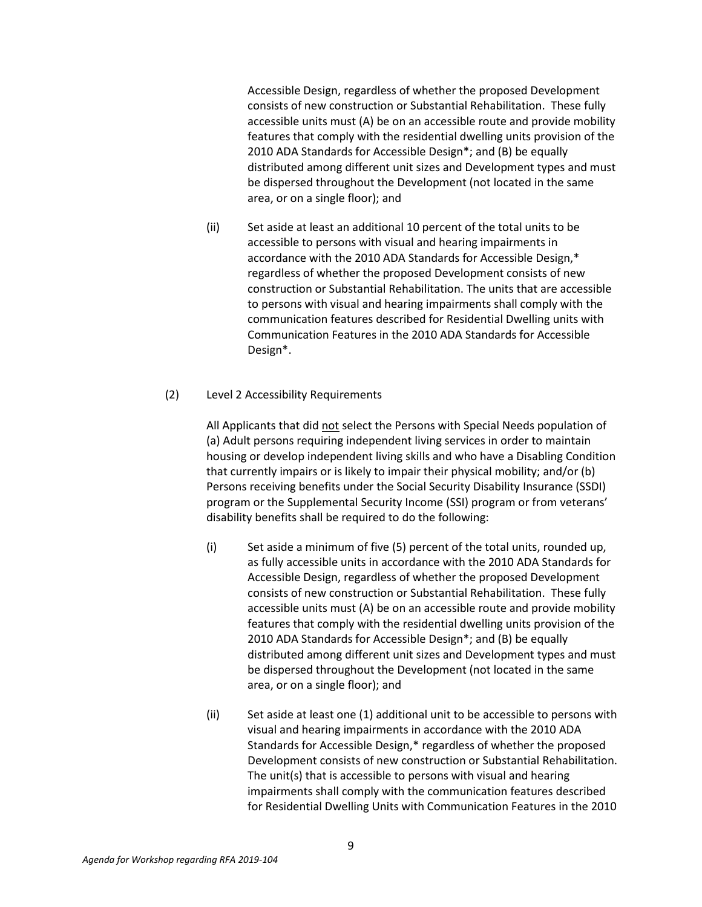Accessible Design, regardless of whether the proposed Development consists of new construction or Substantial Rehabilitation. These fully accessible units must (A) be on an accessible route and provide mobility features that comply with the residential dwelling units provision of the 2010 ADA Standards for Accessible Design\*; and (B) be equally distributed among different unit sizes and Development types and must be dispersed throughout the Development (not located in the same area, or on a single floor); and

(ii) Set aside at least an additional 10 percent of the total units to be accessible to persons with visual and hearing impairments in accordance with the 2010 ADA Standards for Accessible Design,\* regardless of whether the proposed Development consists of new construction or Substantial Rehabilitation. The units that are accessible to persons with visual and hearing impairments shall comply with the communication features described for Residential Dwelling units with Communication Features in the 2010 ADA Standards for Accessible Design\*.

#### (2) Level 2 Accessibility Requirements

All Applicants that did not select the Persons with Special Needs population of (a) Adult persons requiring independent living services in order to maintain housing or develop independent living skills and who have a Disabling Condition that currently impairs or is likely to impair their physical mobility; and/or (b) Persons receiving benefits under the Social Security Disability Insurance (SSDI) program or the Supplemental Security Income (SSI) program or from veterans' disability benefits shall be required to do the following:

- (i) Set aside a minimum of five (5) percent of the total units, rounded up, as fully accessible units in accordance with the 2010 ADA Standards for Accessible Design, regardless of whether the proposed Development consists of new construction or Substantial Rehabilitation. These fully accessible units must (A) be on an accessible route and provide mobility features that comply with the residential dwelling units provision of the 2010 ADA Standards for Accessible Design\*; and (B) be equally distributed among different unit sizes and Development types and must be dispersed throughout the Development (not located in the same area, or on a single floor); and
- (ii) Set aside at least one (1) additional unit to be accessible to persons with visual and hearing impairments in accordance with the 2010 ADA Standards for Accessible Design,\* regardless of whether the proposed Development consists of new construction or Substantial Rehabilitation. The unit(s) that is accessible to persons with visual and hearing impairments shall comply with the communication features described for Residential Dwelling Units with Communication Features in the 2010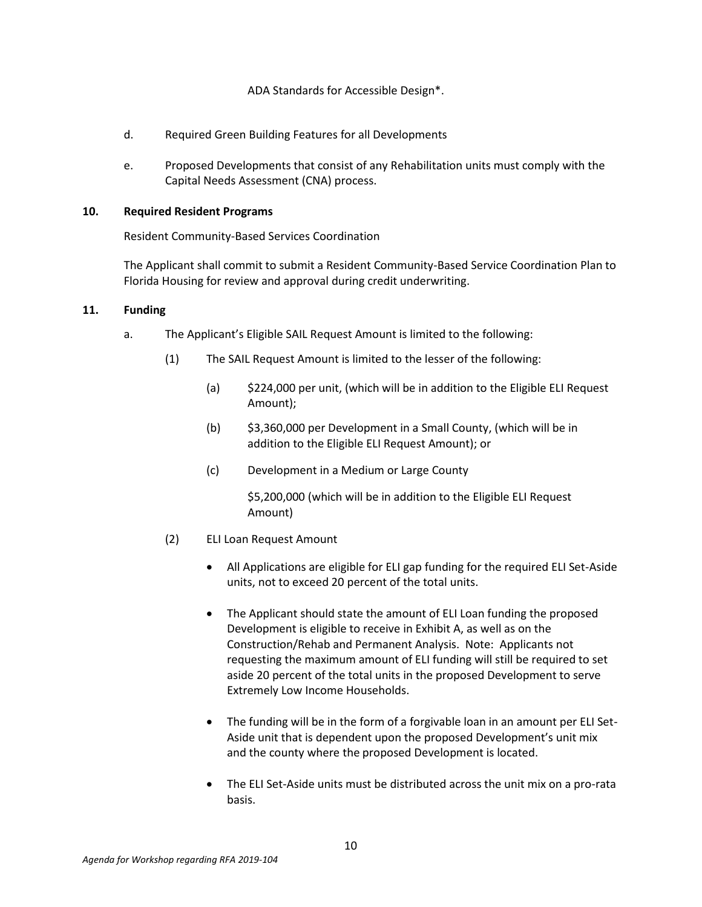# ADA Standards for Accessible Design\*.

- d. Required Green Building Features for all Developments
- e. Proposed Developments that consist of any Rehabilitation units must comply with the Capital Needs Assessment (CNA) process.

## **10. Required Resident Programs**

Resident Community-Based Services Coordination

The Applicant shall commit to submit a Resident Community-Based Service Coordination Plan to Florida Housing for review and approval during credit underwriting.

## **11. Funding**

- a. The Applicant's Eligible SAIL Request Amount is limited to the following:
	- (1) The SAIL Request Amount is limited to the lesser of the following:
		- (a) \$224,000 per unit, (which will be in addition to the Eligible ELI Request Amount);
		- (b) \$3,360,000 per Development in a Small County, (which will be in addition to the Eligible ELI Request Amount); or
		- (c) Development in a Medium or Large County

\$5,200,000 (which will be in addition to the Eligible ELI Request Amount)

- (2) ELI Loan Request Amount
	- All Applications are eligible for ELI gap funding for the required ELI Set-Aside units, not to exceed 20 percent of the total units.
	- The Applicant should state the amount of ELI Loan funding the proposed Development is eligible to receive in Exhibit A, as well as on the Construction/Rehab and Permanent Analysis. Note: Applicants not requesting the maximum amount of ELI funding will still be required to set aside 20 percent of the total units in the proposed Development to serve Extremely Low Income Households.
	- The funding will be in the form of a forgivable loan in an amount per ELI Set-Aside unit that is dependent upon the proposed Development's unit mix and the county where the proposed Development is located.
	- The ELI Set-Aside units must be distributed across the unit mix on a pro-rata basis.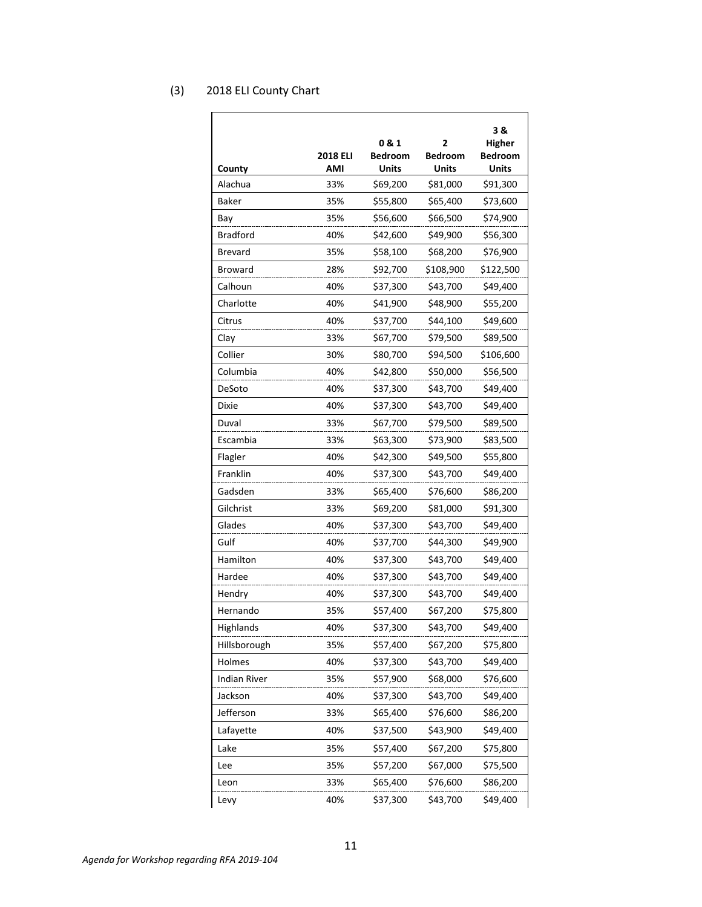# (3) 2018 ELI County Chart

| County          | 2018 ELI<br>AMI | 0 & 1<br><b>Bedroom</b><br><b>Units</b> | 2<br><b>Bedroom</b><br><b>Units</b> | 3 &<br>Higher<br><b>Bedroom</b><br><b>Units</b> |
|-----------------|-----------------|-----------------------------------------|-------------------------------------|-------------------------------------------------|
| Alachua         | 33%             | \$69,200                                | \$81,000                            | \$91,300                                        |
| Baker           | 35%             | \$55,800                                | \$65,400                            | \$73,600                                        |
| Bay             | 35%             | \$56,600                                | \$66,500                            | \$74,900                                        |
| <b>Bradford</b> | 40%             | \$42,600                                | \$49,900                            | \$56,300                                        |
| Brevard         | 35%             | \$58,100                                | \$68,200                            | \$76,900                                        |
| <b>Broward</b>  | 28%             | \$92,700                                | \$108,900                           | \$122,500                                       |
| Calhoun         | 40%             | \$37,300                                | \$43,700                            | \$49,400                                        |
| Charlotte       | 40%             | \$41,900                                | \$48,900                            | \$55,200                                        |
| Citrus          | 40%             | \$37,700                                | \$44,100                            | \$49,600                                        |
| Clay            | 33%             | \$67,700                                | \$79,500                            | \$89,500                                        |
| Collier         | 30%             | \$80,700                                | \$94,500                            | \$106,600                                       |
| Columbia        | 40%             | \$42,800                                | \$50,000                            | \$56,500                                        |
| DeSoto          | 40%             | \$37,300                                | \$43,700                            | \$49,400                                        |
| Dixie           | 40%             | \$37,300                                | \$43,700                            | \$49,400                                        |
| Duval           | 33%             | \$67,700                                | \$79,500                            | \$89,500                                        |
| Escambia        | 33%             | \$63,300                                | \$73,900                            | \$83,500                                        |
| Flagler         | 40%             | \$42,300                                | \$49,500                            | \$55,800                                        |
| Franklin        | 40%             | \$37,300                                | \$43,700                            | \$49,400                                        |
| Gadsden         | 33%             | \$65,400                                | \$76,600                            | \$86,200                                        |
| Gilchrist       | 33%             | \$69,200                                | \$81,000                            | \$91,300                                        |
| Glades          | 40%             | \$37,300                                | \$43,700                            | \$49,400                                        |
| Gulf            | 40%             | \$37,700                                | \$44,300                            | \$49,900                                        |
| Hamilton        | 40%             | \$37,300                                | \$43,700                            | \$49,400                                        |
| Hardee          | 40%             | \$37,300                                | \$43,700                            | \$49,400                                        |
| Hendry          | 40%             | \$37,300                                | \$43,700                            | \$49,400                                        |
| Hernando        | 35%             | \$57,400                                | \$67,200                            | \$75,800                                        |
| Highlands       | 40%             | \$37,300                                | \$43,700                            | \$49,400                                        |
| Hillsborough    | 35%             | \$57,400                                | \$67,200                            | \$75,800                                        |
| Holmes          | 40%             | \$37,300                                | \$43,700                            | \$49,400                                        |
| Indian River    | 35%             | \$57,900                                | \$68,000                            | \$76,600                                        |
| Jackson         | 40%             | \$37,300                                | \$43,700                            | \$49,400                                        |
| Jefferson       | 33%             | \$65,400                                | \$76,600                            | \$86,200                                        |
| Lafayette       | 40%             | \$37,500                                | \$43,900                            | \$49,400                                        |
| Lake            | 35%             | \$57,400                                | \$67,200                            | \$75,800                                        |
| Lee             | 35%             | \$57,200                                | \$67,000                            | \$75,500                                        |
| Leon            | 33%             | \$65,400                                | \$76,600                            | \$86,200                                        |
| Levy            | 40%             | \$37,300                                | \$43,700                            | \$49,400                                        |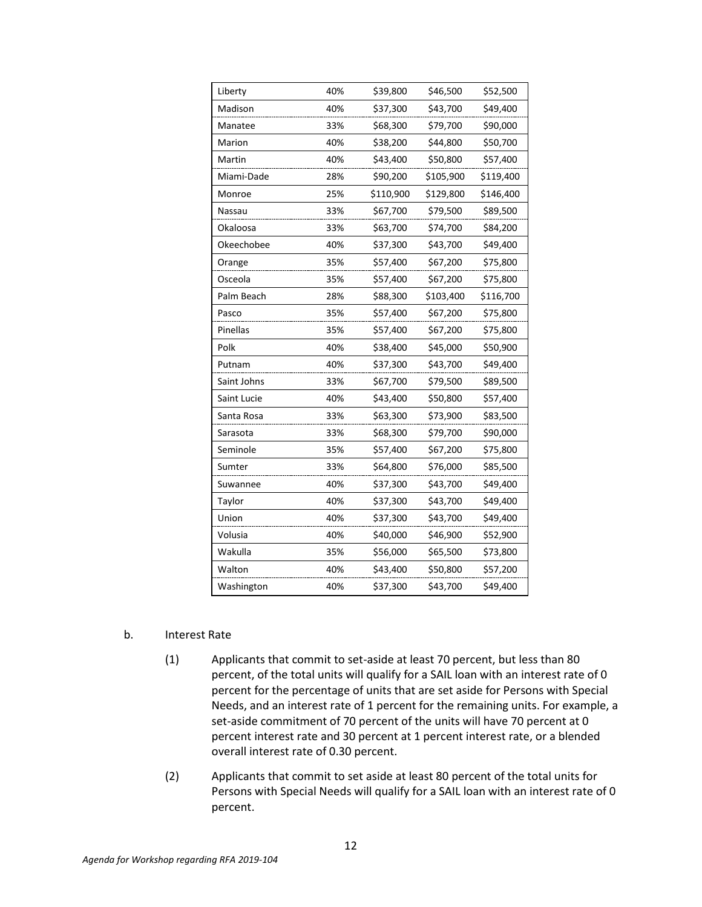| Liberty     | 40% | \$39,800  | \$46,500  | \$52,500  |
|-------------|-----|-----------|-----------|-----------|
| Madison     | 40% | \$37,300  | \$43,700  | \$49,400  |
| Manatee     | 33% | \$68,300  | \$79,700  | \$90,000  |
| Marion      | 40% | \$38,200  | \$44,800  | \$50,700  |
| Martin      | 40% | \$43,400  | \$50,800  | \$57,400  |
| Miami-Dade  | 28% | \$90,200  | \$105,900 | \$119,400 |
| Monroe      | 25% | \$110,900 | \$129,800 | \$146,400 |
| Nassau      | 33% | \$67,700  | \$79,500  | \$89,500  |
| Okaloosa    | 33% | \$63,700  | \$74,700  | \$84,200  |
| Okeechobee  | 40% | \$37,300  | \$43,700  | \$49,400  |
| Orange      | 35% | \$57,400  | \$67,200  | \$75,800  |
| Osceola     | 35% | \$57,400  | \$67,200  | \$75,800  |
| Palm Beach  | 28% | \$88,300  | \$103,400 | \$116,700 |
| Pasco       | 35% | \$57,400  | \$67,200  | \$75,800  |
| Pinellas    | 35% | \$57,400  | \$67,200  | \$75,800  |
| Polk        | 40% | \$38,400  | \$45,000  | \$50,900  |
| Putnam      | 40% | \$37,300  | \$43,700  | \$49,400  |
| Saint Johns | 33% | \$67,700  | \$79,500  | \$89,500  |
| Saint Lucie | 40% | \$43,400  | \$50,800  | \$57,400  |
| Santa Rosa  | 33% | \$63,300  | \$73,900  | \$83,500  |
| Sarasota    | 33% | \$68,300  | \$79,700  | \$90,000  |
| Seminole    | 35% | \$57,400  | \$67,200  | \$75,800  |
| Sumter      | 33% | \$64,800  | \$76,000  | \$85,500  |
| Suwannee    | 40% | \$37,300  | \$43,700  | \$49,400  |
| Taylor      | 40% | \$37,300  | \$43,700  | \$49,400  |
| Union       | 40% | \$37,300  | \$43,700  | \$49,400  |
| Volusia     | 40% | \$40,000  | \$46,900  | \$52,900  |
| Wakulla     | 35% | \$56,000  | \$65,500  | \$73,800  |
| Walton      | 40% | \$43,400  | \$50,800  | \$57,200  |
| Washington  | 40% | \$37,300  | \$43,700  | \$49,400  |
|             |     |           |           |           |

#### b. Interest Rate

- (1) Applicants that commit to set-aside at least 70 percent, but less than 80 percent, of the total units will qualify for a SAIL loan with an interest rate of 0 percent for the percentage of units that are set aside for Persons with Special Needs, and an interest rate of 1 percent for the remaining units. For example, a set-aside commitment of 70 percent of the units will have 70 percent at 0 percent interest rate and 30 percent at 1 percent interest rate, or a blended overall interest rate of 0.30 percent.
- (2) Applicants that commit to set aside at least 80 percent of the total units for Persons with Special Needs will qualify for a SAIL loan with an interest rate of 0 percent.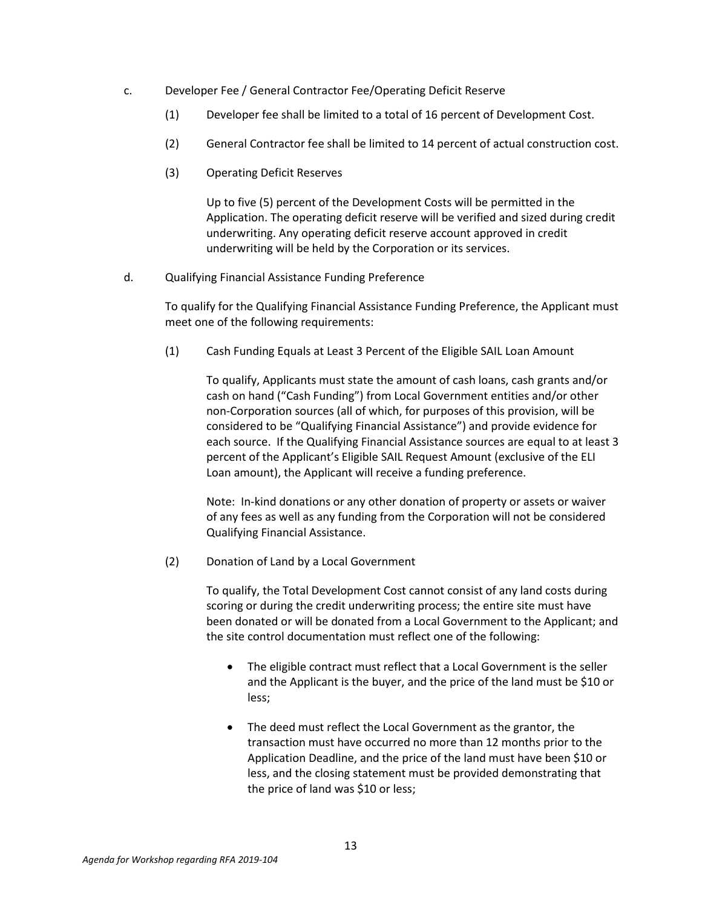- c. Developer Fee / General Contractor Fee/Operating Deficit Reserve
	- (1) Developer fee shall be limited to a total of 16 percent of Development Cost.
	- (2) General Contractor fee shall be limited to 14 percent of actual construction cost.
	- (3) Operating Deficit Reserves

Up to five (5) percent of the Development Costs will be permitted in the Application. The operating deficit reserve will be verified and sized during credit underwriting. Any operating deficit reserve account approved in credit underwriting will be held by the Corporation or its services.

d. Qualifying Financial Assistance Funding Preference

To qualify for the Qualifying Financial Assistance Funding Preference, the Applicant must meet one of the following requirements:

(1) Cash Funding Equals at Least 3 Percent of the Eligible SAIL Loan Amount

To qualify, Applicants must state the amount of cash loans, cash grants and/or cash on hand ("Cash Funding") from Local Government entities and/or other non-Corporation sources (all of which, for purposes of this provision, will be considered to be "Qualifying Financial Assistance") and provide evidence for each source. If the Qualifying Financial Assistance sources are equal to at least 3 percent of the Applicant's Eligible SAIL Request Amount (exclusive of the ELI Loan amount), the Applicant will receive a funding preference.

Note: In-kind donations or any other donation of property or assets or waiver of any fees as well as any funding from the Corporation will not be considered Qualifying Financial Assistance.

(2) Donation of Land by a Local Government

To qualify, the Total Development Cost cannot consist of any land costs during scoring or during the credit underwriting process; the entire site must have been donated or will be donated from a Local Government to the Applicant; and the site control documentation must reflect one of the following:

- The eligible contract must reflect that a Local Government is the seller and the Applicant is the buyer, and the price of the land must be \$10 or less;
- The deed must reflect the Local Government as the grantor, the transaction must have occurred no more than 12 months prior to the Application Deadline, and the price of the land must have been \$10 or less, and the closing statement must be provided demonstrating that the price of land was \$10 or less;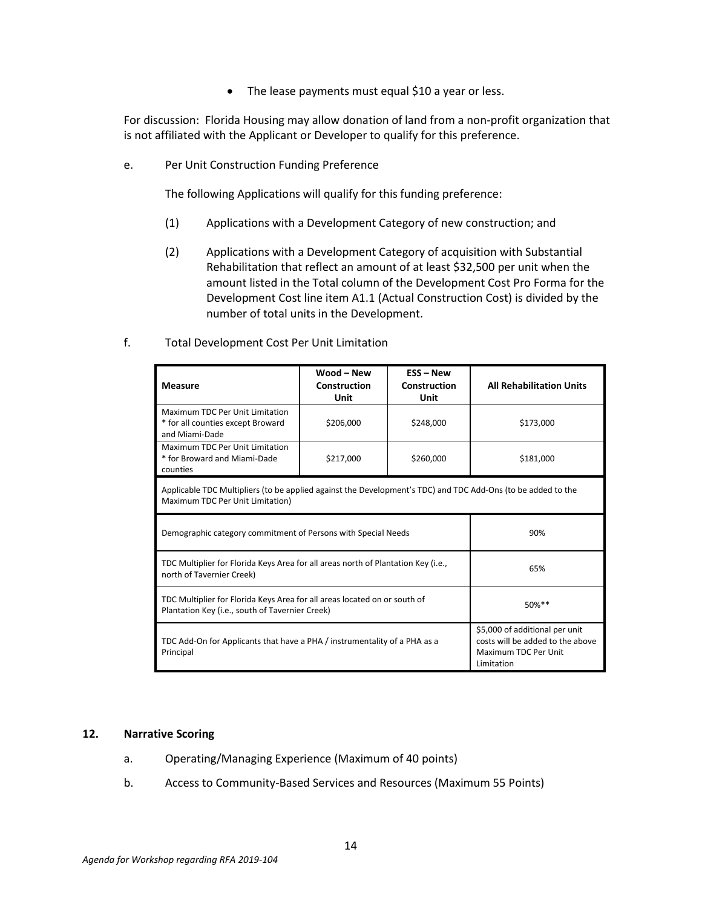• The lease payments must equal \$10 a year or less.

For discussion: Florida Housing may allow donation of land from a non-profit organization that is not affiliated with the Applicant or Developer to qualify for this preference.

e. Per Unit Construction Funding Preference

The following Applications will qualify for this funding preference:

- (1) Applications with a Development Category of new construction; and
- (2) Applications with a Development Category of acquisition with Substantial Rehabilitation that reflect an amount of at least \$32,500 per unit when the amount listed in the Total column of the Development Cost Pro Forma for the Development Cost line item A1.1 (Actual Construction Cost) is divided by the number of total units in the Development.
- f. Total Development Cost Per Unit Limitation

| <b>Measure</b>                                                                                                                                   | Wood - New<br>Construction<br>Unit                                                                       | <b>ESS - New</b><br>Construction<br>Unit | <b>All Rehabilitation Units</b> |  |  |  |
|--------------------------------------------------------------------------------------------------------------------------------------------------|----------------------------------------------------------------------------------------------------------|------------------------------------------|---------------------------------|--|--|--|
| Maximum TDC Per Unit Limitation<br>* for all counties except Broward<br>and Miami-Dade                                                           | \$206,000                                                                                                | \$248,000                                | \$173,000                       |  |  |  |
| Maximum TDC Per Unit Limitation<br>* for Broward and Miami-Dade<br>counties                                                                      | \$217,000                                                                                                | \$260,000                                | \$181,000                       |  |  |  |
| Applicable TDC Multipliers (to be applied against the Development's TDC) and TDC Add-Ons (to be added to the<br>Maximum TDC Per Unit Limitation) |                                                                                                          |                                          |                                 |  |  |  |
| Demographic category commitment of Persons with Special Needs                                                                                    | 90%                                                                                                      |                                          |                                 |  |  |  |
| TDC Multiplier for Florida Keys Area for all areas north of Plantation Key (i.e.,<br>north of Tavernier Creek)                                   | 65%                                                                                                      |                                          |                                 |  |  |  |
| TDC Multiplier for Florida Keys Area for all areas located on or south of<br>Plantation Key (i.e., south of Tavernier Creek)                     | $50\%**$                                                                                                 |                                          |                                 |  |  |  |
| TDC Add-On for Applicants that have a PHA / instrumentality of a PHA as a<br>Principal                                                           | \$5,000 of additional per unit<br>costs will be added to the above<br>Maximum TDC Per Unit<br>Limitation |                                          |                                 |  |  |  |

## **12. Narrative Scoring**

- a. Operating/Managing Experience (Maximum of 40 points)
- b. Access to Community-Based Services and Resources (Maximum 55 Points)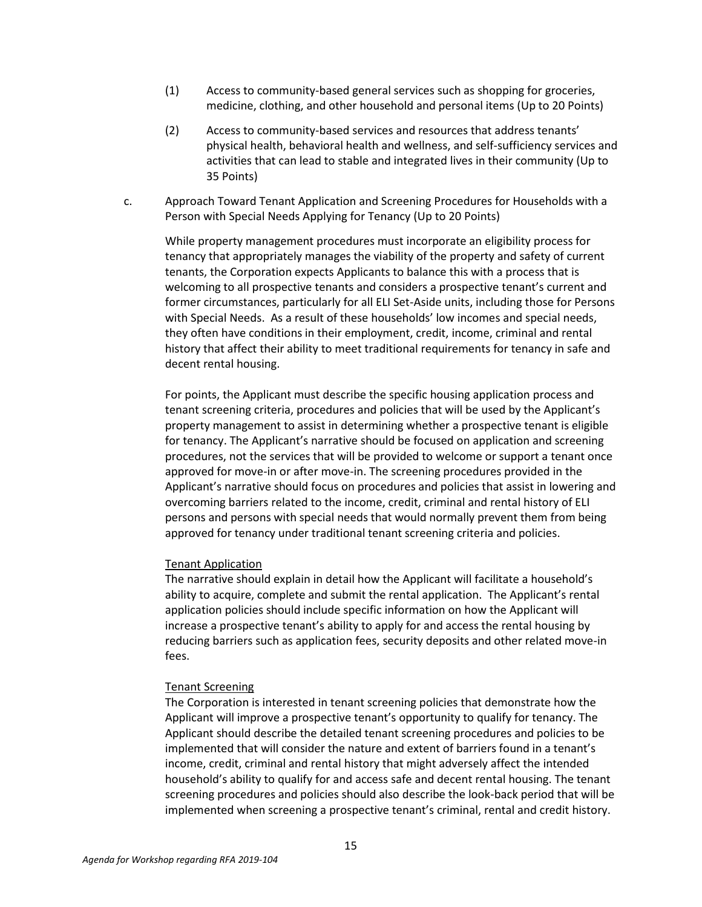- (1) Access to community-based general services such as shopping for groceries, medicine, clothing, and other household and personal items (Up to 20 Points)
- (2) Access to community-based services and resources that address tenants' physical health, behavioral health and wellness, and self-sufficiency services and activities that can lead to stable and integrated lives in their community (Up to 35 Points)
- c. Approach Toward Tenant Application and Screening Procedures for Households with a Person with Special Needs Applying for Tenancy (Up to 20 Points)

While property management procedures must incorporate an eligibility process for tenancy that appropriately manages the viability of the property and safety of current tenants, the Corporation expects Applicants to balance this with a process that is welcoming to all prospective tenants and considers a prospective tenant's current and former circumstances, particularly for all ELI Set-Aside units, including those for Persons with Special Needs. As a result of these households' low incomes and special needs, they often have conditions in their employment, credit, income, criminal and rental history that affect their ability to meet traditional requirements for tenancy in safe and decent rental housing.

For points, the Applicant must describe the specific housing application process and tenant screening criteria, procedures and policies that will be used by the Applicant's property management to assist in determining whether a prospective tenant is eligible for tenancy. The Applicant's narrative should be focused on application and screening procedures, not the services that will be provided to welcome or support a tenant once approved for move-in or after move-in. The screening procedures provided in the Applicant's narrative should focus on procedures and policies that assist in lowering and overcoming barriers related to the income, credit, criminal and rental history of ELI persons and persons with special needs that would normally prevent them from being approved for tenancy under traditional tenant screening criteria and policies.

#### Tenant Application

The narrative should explain in detail how the Applicant will facilitate a household's ability to acquire, complete and submit the rental application. The Applicant's rental application policies should include specific information on how the Applicant will increase a prospective tenant's ability to apply for and access the rental housing by reducing barriers such as application fees, security deposits and other related move-in fees.

#### Tenant Screening

The Corporation is interested in tenant screening policies that demonstrate how the Applicant will improve a prospective tenant's opportunity to qualify for tenancy. The Applicant should describe the detailed tenant screening procedures and policies to be implemented that will consider the nature and extent of barriers found in a tenant's income, credit, criminal and rental history that might adversely affect the intended household's ability to qualify for and access safe and decent rental housing. The tenant screening procedures and policies should also describe the look-back period that will be implemented when screening a prospective tenant's criminal, rental and credit history.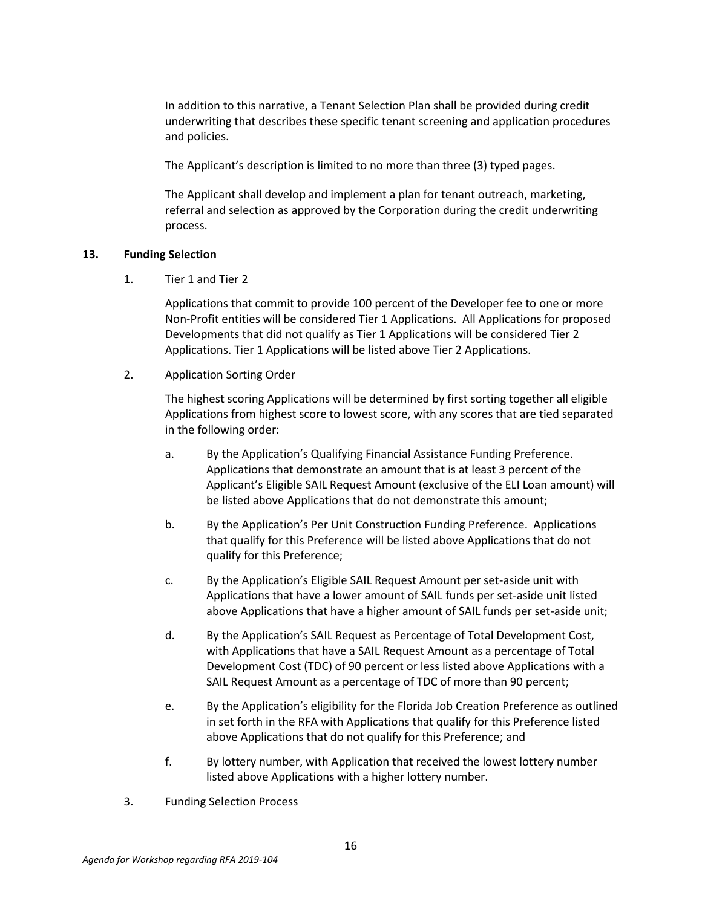In addition to this narrative, a Tenant Selection Plan shall be provided during credit underwriting that describes these specific tenant screening and application procedures and policies.

The Applicant's description is limited to no more than three (3) typed pages.

The Applicant shall develop and implement a plan for tenant outreach, marketing, referral and selection as approved by the Corporation during the credit underwriting process.

## **13. Funding Selection**

1. Tier 1 and Tier 2

Applications that commit to provide 100 percent of the Developer fee to one or more Non-Profit entities will be considered Tier 1 Applications. All Applications for proposed Developments that did not qualify as Tier 1 Applications will be considered Tier 2 Applications. Tier 1 Applications will be listed above Tier 2 Applications.

2. Application Sorting Order

The highest scoring Applications will be determined by first sorting together all eligible Applications from highest score to lowest score, with any scores that are tied separated in the following order:

- a. By the Application's Qualifying Financial Assistance Funding Preference. Applications that demonstrate an amount that is at least 3 percent of the Applicant's Eligible SAIL Request Amount (exclusive of the ELI Loan amount) will be listed above Applications that do not demonstrate this amount;
- b. By the Application's Per Unit Construction Funding Preference. Applications that qualify for this Preference will be listed above Applications that do not qualify for this Preference;
- c. By the Application's Eligible SAIL Request Amount per set-aside unit with Applications that have a lower amount of SAIL funds per set-aside unit listed above Applications that have a higher amount of SAIL funds per set-aside unit;
- d. By the Application's SAIL Request as Percentage of Total Development Cost, with Applications that have a SAIL Request Amount as a percentage of Total Development Cost (TDC) of 90 percent or less listed above Applications with a SAIL Request Amount as a percentage of TDC of more than 90 percent;
- e. By the Application's eligibility for the Florida Job Creation Preference as outlined in set forth in the RFA with Applications that qualify for this Preference listed above Applications that do not qualify for this Preference; and
- f. By lottery number, with Application that received the lowest lottery number listed above Applications with a higher lottery number.
- 3. Funding Selection Process